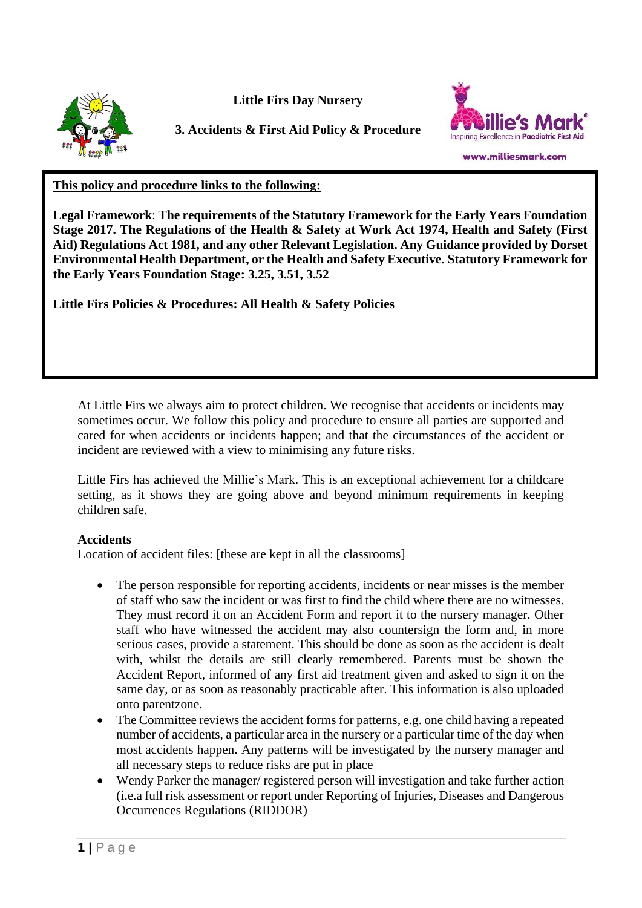**Little Firs Day Nursery**



**3. Accidents & First Aid Policy & Procedure**



www.milliesmark.com

### **This policy and procedure links to the following:**

**Legal Framework**: **The requirements of the Statutory Framework for the Early Years Foundation Stage 2017. The Regulations of the Health & Safety at Work Act 1974, Health and Safety (First Aid) Regulations Act 1981, and any other Relevant Legislation. Any Guidance provided by Dorset Environmental Health Department, or the Health and Safety Executive. Statutory Framework for the Early Years Foundation Stage: 3.25, 3.51, 3.52**

**Little Firs Policies & Procedures: All Health & Safety Policies**

At Little Firs we always aim to protect children. We recognise that accidents or incidents may sometimes occur. We follow this policy and procedure to ensure all parties are supported and cared for when accidents or incidents happen; and that the circumstances of the accident or incident are reviewed with a view to minimising any future risks.

Little Firs has achieved the Millie's Mark. This is an exceptional achievement for a childcare setting, as it shows they are going above and beyond minimum requirements in keeping children safe.

#### **Accidents**

Location of accident files: [these are kept in all the classrooms]

- The person responsible for reporting accidents, incidents or near misses is the member of staff who saw the incident or was first to find the child where there are no witnesses. They must record it on an Accident Form and report it to the nursery manager. Other staff who have witnessed the accident may also countersign the form and, in more serious cases, provide a statement. This should be done as soon as the accident is dealt with, whilst the details are still clearly remembered. Parents must be shown the Accident Report, informed of any first aid treatment given and asked to sign it on the same day, or as soon as reasonably practicable after. This information is also uploaded onto parentzone.
- The Committee reviews the accident forms for patterns, e.g. one child having a repeated number of accidents, a particular area in the nursery or a particular time of the day when most accidents happen. Any patterns will be investigated by the nursery manager and all necessary steps to reduce risks are put in place
- Wendy Parker the manager/ registered person will investigation and take further action (i.e.a full risk assessment or report under Reporting of Injuries, Diseases and Dangerous Occurrences Regulations (RIDDOR)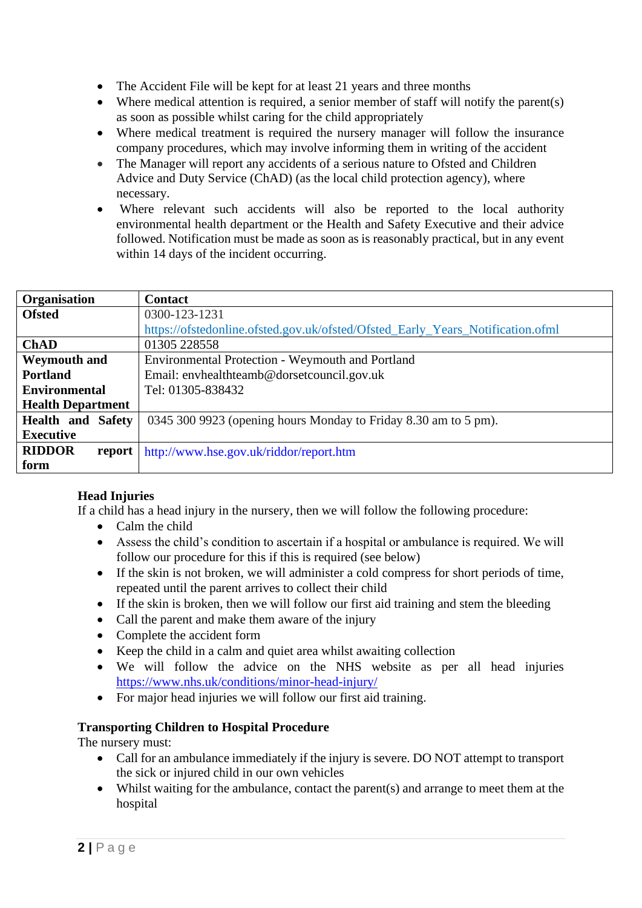- The Accident File will be kept for at least 21 years and three months
- Where medical attention is required, a senior member of staff will notify the parent(s) as soon as possible whilst caring for the child appropriately
- Where medical treatment is required the nursery manager will follow the insurance company procedures, which may involve informing them in writing of the accident
- The Manager will report any accidents of a serious nature to Ofsted and Children Advice and Duty Service (ChAD) (as the local child protection agency), where necessary.
- Where relevant such accidents will also be reported to the local authority environmental health department or the Health and Safety Executive and their advice followed. Notification must be made as soon as is reasonably practical, but in any event within 14 days of the incident occurring.

| Organisation             | Contact                                                                        |  |  |
|--------------------------|--------------------------------------------------------------------------------|--|--|
| <b>Ofsted</b>            | 0300-123-1231                                                                  |  |  |
|                          | https://ofstedonline.ofsted.gov.uk/ofsted/Ofsted_Early_Years_Notification.ofml |  |  |
| <b>ChAD</b>              | 01305 228558                                                                   |  |  |
| <b>Weymouth and</b>      | <b>Environmental Protection - Weymouth and Portland</b>                        |  |  |
| <b>Portland</b>          | Email: envhealthteamb@dorsetcouncil.gov.uk                                     |  |  |
| <b>Environmental</b>     | Tel: 01305-838432                                                              |  |  |
| <b>Health Department</b> |                                                                                |  |  |
| <b>Health and Safety</b> | 0345 300 9923 (opening hours Monday to Friday 8.30 am to 5 pm).                |  |  |
| <b>Executive</b>         |                                                                                |  |  |
| <b>RIDDOR</b><br>report  | http://www.hse.gov.uk/riddor/report.htm                                        |  |  |
| form                     |                                                                                |  |  |

## **Head Injuries**

If a child has a head injury in the nursery, then we will follow the following procedure:

- Calm the child
- Assess the child's condition to ascertain if a hospital or ambulance is required. We will follow our procedure for this if this is required (see below)
- If the skin is not broken, we will administer a cold compress for short periods of time, repeated until the parent arrives to collect their child
- If the skin is broken, then we will follow our first aid training and stem the bleeding
- Call the parent and make them aware of the injury
- Complete the accident form
- Keep the child in a calm and quiet area whilst awaiting collection
- We will follow the advice on the NHS website as per all head injuries <https://www.nhs.uk/conditions/minor-head-injury/>
- For major head injuries we will follow our first aid training.

## **Transporting Children to Hospital Procedure**

The nursery must:

- Call for an ambulance immediately if the injury is severe. DO NOT attempt to transport the sick or injured child in our own vehicles
- Whilst waiting for the ambulance, contact the parent(s) and arrange to meet them at the hospital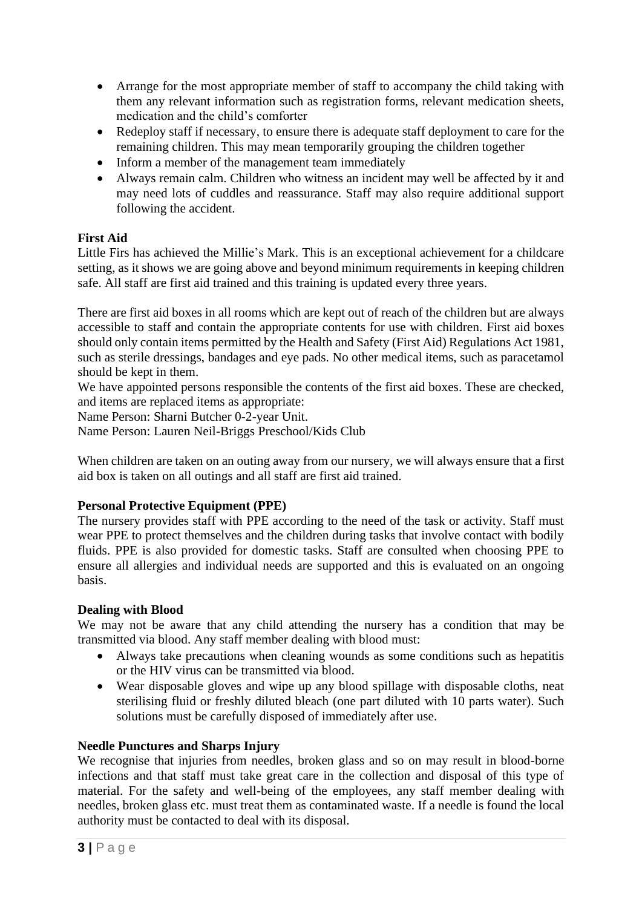- Arrange for the most appropriate member of staff to accompany the child taking with them any relevant information such as registration forms, relevant medication sheets, medication and the child's comforter
- Redeploy staff if necessary, to ensure there is adequate staff deployment to care for the remaining children. This may mean temporarily grouping the children together
- Inform a member of the management team immediately
- Always remain calm. Children who witness an incident may well be affected by it and may need lots of cuddles and reassurance. Staff may also require additional support following the accident.

# **First Aid**

Little Firs has achieved the Millie's Mark. This is an exceptional achievement for a childcare setting, as it shows we are going above and beyond minimum requirements in keeping children safe. All staff are first aid trained and this training is updated every three years.

There are first aid boxes in all rooms which are kept out of reach of the children but are always accessible to staff and contain the appropriate contents for use with children. First aid boxes should only contain items permitted by the Health and Safety (First Aid) Regulations Act 1981, such as sterile dressings, bandages and eye pads. No other medical items, such as paracetamol should be kept in them.

We have appointed persons responsible the contents of the first aid boxes. These are checked, and items are replaced items as appropriate:

Name Person: Sharni Butcher 0-2-year Unit.

Name Person: Lauren Neil-Briggs Preschool/Kids Club

When children are taken on an outing away from our nursery, we will always ensure that a first aid box is taken on all outings and all staff are first aid trained.

## **Personal Protective Equipment (PPE)**

The nursery provides staff with PPE according to the need of the task or activity. Staff must wear PPE to protect themselves and the children during tasks that involve contact with bodily fluids. PPE is also provided for domestic tasks. Staff are consulted when choosing PPE to ensure all allergies and individual needs are supported and this is evaluated on an ongoing basis.

## **Dealing with Blood**

We may not be aware that any child attending the nursery has a condition that may be transmitted via blood. Any staff member dealing with blood must:

- Always take precautions when cleaning wounds as some conditions such as hepatitis or the HIV virus can be transmitted via blood.
- Wear disposable gloves and wipe up any blood spillage with disposable cloths, neat sterilising fluid or freshly diluted bleach (one part diluted with 10 parts water). Such solutions must be carefully disposed of immediately after use.

## **Needle Punctures and Sharps Injury**

We recognise that injuries from needles, broken glass and so on may result in blood-borne infections and that staff must take great care in the collection and disposal of this type of material. For the safety and well-being of the employees, any staff member dealing with needles, broken glass etc. must treat them as contaminated waste. If a needle is found the local authority must be contacted to deal with its disposal.